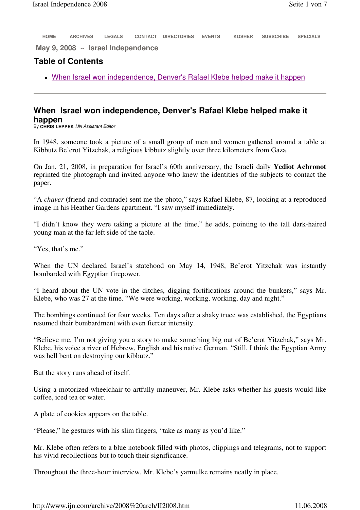**HOME ARCHIVES LEGALS CONTACT DIRECTORIES EVENTS KOSHER SUBSCRIBE SPECIALS**

**May 9, 2008 ~ Israel Independence**

## **Table of Contents**

When Israel won independence, Denver's Rafael Klebe helped make it happen

## **When Israel won independence, Denver's Rafael Klebe helped make it happen**

By **CHRIS LEPPEK** IJN Assistant Editor

In 1948, someone took a picture of a small group of men and women gathered around a table at Kibbutz Be'erot Yitzchak, a religious kibbutz slightly over three kilometers from Gaza.

On Jan. 21, 2008, in preparation for Israel's 60th anniversary, the Israeli daily **Yediot Achronot**  reprinted the photograph and invited anyone who knew the identities of the subjects to contact the paper.

"A *chaver* (friend and comrade) sent me the photo," says Rafael Klebe, 87, looking at a reproduced image in his Heather Gardens apartment. "I saw myself immediately.

"I didn't know they were taking a picture at the time," he adds, pointing to the tall dark-haired young man at the far left side of the table.

"Yes, that's me."

When the UN declared Israel's statehood on May 14, 1948, Be'erot Yitzchak was instantly bombarded with Egyptian firepower.

"I heard about the UN vote in the ditches, digging fortifications around the bunkers," says Mr. Klebe, who was 27 at the time. "We were working, working, working, day and night."

The bombings continued for four weeks. Ten days after a shaky truce was established, the Egyptians resumed their bombardment with even fiercer intensity.

"Believe me, I'm not giving you a story to make something big out of Be'erot Yitzchak," says Mr. Klebe, his voice a river of Hebrew, English and his native German. "Still, I think the Egyptian Army was hell bent on destroying our kibbutz."

But the story runs ahead of itself.

Using a motorized wheelchair to artfully maneuver, Mr. Klebe asks whether his guests would like coffee, iced tea or water.

A plate of cookies appears on the table.

"Please," he gestures with his slim fingers, "take as many as you'd like."

Mr. Klebe often refers to a blue notebook filled with photos, clippings and telegrams, not to support his vivid recollections but to touch their significance.

Throughout the three-hour interview, Mr. Klebe's yarmulke remains neatly in place.

http://www.ijn.com/archive/2008%20arch/II2008.htm 11.06.2008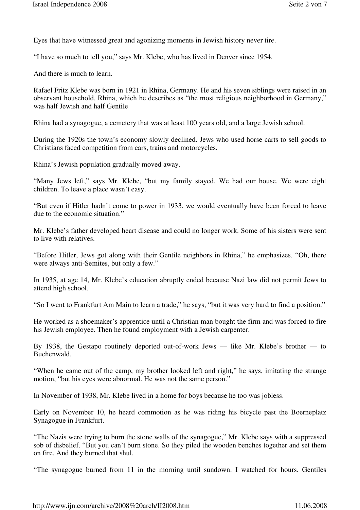Eyes that have witnessed great and agonizing moments in Jewish history never tire.

"I have so much to tell you," says Mr. Klebe, who has lived in Denver since 1954.

And there is much to learn.

Rafael Fritz Klebe was born in 1921 in Rhina, Germany. He and his seven siblings were raised in an observant household. Rhina, which he describes as "the most religious neighborhood in Germany," was half Jewish and half Gentile

Rhina had a synagogue, a cemetery that was at least 100 years old, and a large Jewish school.

During the 1920s the town's economy slowly declined. Jews who used horse carts to sell goods to Christians faced competition from cars, trains and motorcycles.

Rhina's Jewish population gradually moved away.

"Many Jews left," says Mr. Klebe, "but my family stayed. We had our house. We were eight children. To leave a place wasn't easy.

"But even if Hitler hadn't come to power in 1933, we would eventually have been forced to leave due to the economic situation."

Mr. Klebe's father developed heart disease and could no longer work. Some of his sisters were sent to live with relatives.

"Before Hitler, Jews got along with their Gentile neighbors in Rhina," he emphasizes. "Oh, there were always anti-Semites, but only a few."

In 1935, at age 14, Mr. Klebe's education abruptly ended because Nazi law did not permit Jews to attend high school.

"So I went to Frankfurt Am Main to learn a trade," he says, "but it was very hard to find a position."

He worked as a shoemaker's apprentice until a Christian man bought the firm and was forced to fire his Jewish employee. Then he found employment with a Jewish carpenter.

By 1938, the Gestapo routinely deported out-of-work Jews –– like Mr. Klebe's brother –– to Buchenwald.

"When he came out of the camp, my brother looked left and right," he says, imitating the strange motion, "but his eyes were abnormal. He was not the same person."

In November of 1938, Mr. Klebe lived in a home for boys because he too was jobless.

Early on November 10, he heard commotion as he was riding his bicycle past the Boerneplatz Synagogue in Frankfurt.

"The Nazis were trying to burn the stone walls of the synagogue," Mr. Klebe says with a suppressed sob of disbelief. "But you can't burn stone. So they piled the wooden benches together and set them on fire. And they burned that shul.

"The synagogue burned from 11 in the morning until sundown. I watched for hours. Gentiles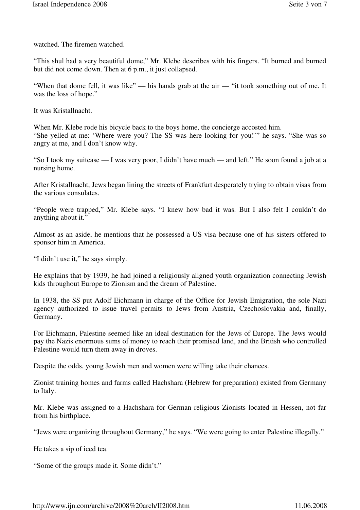watched. The firemen watched.

"This shul had a very beautiful dome," Mr. Klebe describes with his fingers. "It burned and burned but did not come down. Then at 6 p.m., it just collapsed.

"When that dome fell, it was like" — his hands grab at the air — "it took something out of me. It was the loss of hope."

It was Kristallnacht.

When Mr. Klebe rode his bicycle back to the boys home, the concierge accosted him. "She yelled at me: 'Where were you? The SS was here looking for you!'" he says. "She was so angry at me, and I don't know why.

"So I took my suitcase –– I was very poor, I didn't have much –– and left." He soon found a job at a nursing home.

After Kristallnacht, Jews began lining the streets of Frankfurt desperately trying to obtain visas from the various consulates.

"People were trapped," Mr. Klebe says. "I knew how bad it was. But I also felt I couldn't do anything about it."

Almost as an aside, he mentions that he possessed a US visa because one of his sisters offered to sponsor him in America.

"I didn't use it," he says simply.

He explains that by 1939, he had joined a religiously aligned youth organization connecting Jewish kids throughout Europe to Zionism and the dream of Palestine.

In 1938, the SS put Adolf Eichmann in charge of the Office for Jewish Emigration, the sole Nazi agency authorized to issue travel permits to Jews from Austria, Czechoslovakia and, finally, Germany.

For Eichmann, Palestine seemed like an ideal destination for the Jews of Europe. The Jews would pay the Nazis enormous sums of money to reach their promised land, and the British who controlled Palestine would turn them away in droves.

Despite the odds, young Jewish men and women were willing take their chances.

Zionist training homes and farms called Hachshara (Hebrew for preparation) existed from Germany to Italy.

Mr. Klebe was assigned to a Hachshara for German religious Zionists located in Hessen, not far from his birthplace.

"Jews were organizing throughout Germany," he says. "We were going to enter Palestine illegally."

He takes a sip of iced tea.

"Some of the groups made it. Some didn't."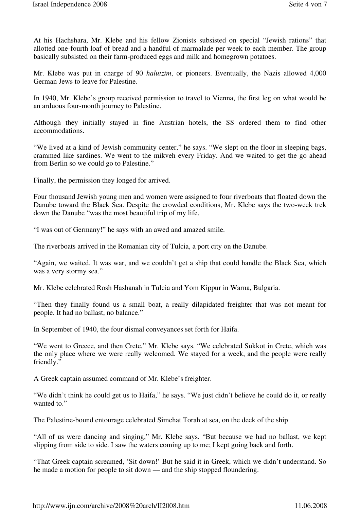At his Hachshara, Mr. Klebe and his fellow Zionists subsisted on special "Jewish rations" that allotted one-fourth loaf of bread and a handful of marmalade per week to each member. The group basically subsisted on their farm-produced eggs and milk and homegrown potatoes.

Mr. Klebe was put in charge of 90 *halutzim*, or pioneers. Eventually, the Nazis allowed 4,000 German Jews to leave for Palestine.

In 1940, Mr. Klebe's group received permission to travel to Vienna, the first leg on what would be an arduous four-month journey to Palestine.

Although they initially stayed in fine Austrian hotels, the SS ordered them to find other accommodations.

"We lived at a kind of Jewish community center," he says. "We slept on the floor in sleeping bags, crammed like sardines. We went to the mikveh every Friday. And we waited to get the go ahead from Berlin so we could go to Palestine."

Finally, the permission they longed for arrived.

Four thousand Jewish young men and women were assigned to four riverboats that floated down the Danube toward the Black Sea. Despite the crowded conditions, Mr. Klebe says the two-week trek down the Danube "was the most beautiful trip of my life.

"I was out of Germany!" he says with an awed and amazed smile.

The riverboats arrived in the Romanian city of Tulcia, a port city on the Danube.

"Again, we waited. It was war, and we couldn't get a ship that could handle the Black Sea, which was a very stormy sea."

Mr. Klebe celebrated Rosh Hashanah in Tulcia and Yom Kippur in Warna, Bulgaria.

"Then they finally found us a small boat, a really dilapidated freighter that was not meant for people. It had no ballast, no balance."

In September of 1940, the four dismal conveyances set forth for Haifa.

"We went to Greece, and then Crete," Mr. Klebe says. "We celebrated Sukkot in Crete, which was the only place where we were really welcomed. We stayed for a week, and the people were really friendly."

A Greek captain assumed command of Mr. Klebe's freighter.

"We didn't think he could get us to Haifa," he says. "We just didn't believe he could do it, or really wanted to."

The Palestine-bound entourage celebrated Simchat Torah at sea, on the deck of the ship

"All of us were dancing and singing," Mr. Klebe says. "But because we had no ballast, we kept slipping from side to side. I saw the waters coming up to me; I kept going back and forth.

"That Greek captain screamed, 'Sit down!' But he said it in Greek, which we didn't understand. So he made a motion for people to sit down — and the ship stopped floundering.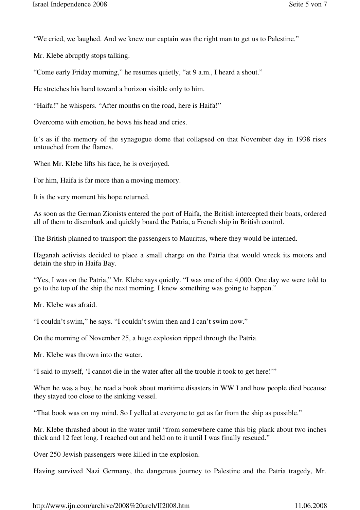"We cried, we laughed. And we knew our captain was the right man to get us to Palestine."

Mr. Klebe abruptly stops talking.

"Come early Friday morning," he resumes quietly, "at 9 a.m., I heard a shout."

He stretches his hand toward a horizon visible only to him.

"Haifa!" he whispers. "After months on the road, here is Haifa!"

Overcome with emotion, he bows his head and cries.

It's as if the memory of the synagogue dome that collapsed on that November day in 1938 rises untouched from the flames.

When Mr. Klebe lifts his face, he is overjoyed.

For him, Haifa is far more than a moving memory.

It is the very moment his hope returned.

As soon as the German Zionists entered the port of Haifa, the British intercepted their boats, ordered all of them to disembark and quickly board the Patria, a French ship in British control.

The British planned to transport the passengers to Mauritus, where they would be interned.

Haganah activists decided to place a small charge on the Patria that would wreck its motors and detain the ship in Haifa Bay.

"Yes, I was on the Patria," Mr. Klebe says quietly. "I was one of the 4,000. One day we were told to go to the top of the ship the next morning. I knew something was going to happen."

Mr. Klebe was afraid.

"I couldn't swim," he says. "I couldn't swim then and I can't swim now."

On the morning of November 25, a huge explosion ripped through the Patria.

Mr. Klebe was thrown into the water.

"I said to myself, 'I cannot die in the water after all the trouble it took to get here!'"

When he was a boy, he read a book about maritime disasters in WW I and how people died because they stayed too close to the sinking vessel.

"That book was on my mind. So I yelled at everyone to get as far from the ship as possible."

Mr. Klebe thrashed about in the water until "from somewhere came this big plank about two inches thick and 12 feet long. I reached out and held on to it until I was finally rescued."

Over 250 Jewish passengers were killed in the explosion.

Having survived Nazi Germany, the dangerous journey to Palestine and the Patria tragedy, Mr.

http://www.ijn.com/archive/2008%20arch/II2008.htm 11.06.2008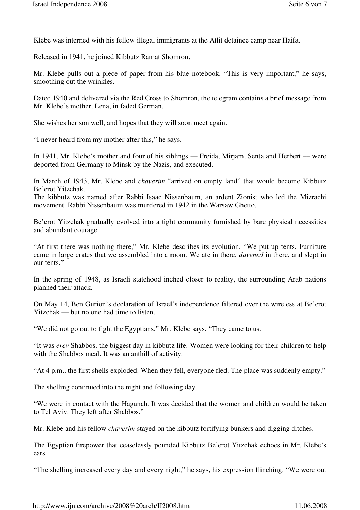Klebe was interned with his fellow illegal immigrants at the Atlit detainee camp near Haifa.

Released in 1941, he joined Kibbutz Ramat Shomron.

Mr. Klebe pulls out a piece of paper from his blue notebook. "This is very important," he says, smoothing out the wrinkles.

Dated 1940 and delivered via the Red Cross to Shomron, the telegram contains a brief message from Mr. Klebe's mother, Lena, in faded German.

She wishes her son well, and hopes that they will soon meet again.

"I never heard from my mother after this," he says.

In 1941, Mr. Klebe's mother and four of his siblings — Freida, Mirjam, Senta and Herbert — were deported from Germany to Minsk by the Nazis, and executed.

In March of 1943, Mr. Klebe and *chaverim* "arrived on empty land" that would become Kibbutz Be'erot Yitzchak.

The kibbutz was named after Rabbi Isaac Nissenbaum, an ardent Zionist who led the Mizrachi movement. Rabbi Nissenbaum was murdered in 1942 in the Warsaw Ghetto.

Be'erot Yitzchak gradually evolved into a tight community furnished by bare physical necessities and abundant courage.

"At first there was nothing there," Mr. Klebe describes its evolution. "We put up tents. Furniture came in large crates that we assembled into a room. We ate in there, *davened* in there, and slept in our tents."

In the spring of 1948, as Israeli statehood inched closer to reality, the surrounding Arab nations planned their attack.

On May 14, Ben Gurion's declaration of Israel's independence filtered over the wireless at Be'erot Yitzchak — but no one had time to listen.

"We did not go out to fight the Egyptians," Mr. Klebe says. "They came to us.

"It was *erev* Shabbos, the biggest day in kibbutz life. Women were looking for their children to help with the Shabbos meal. It was an anthill of activity.

"At 4 p.m., the first shells exploded. When they fell, everyone fled. The place was suddenly empty."

The shelling continued into the night and following day.

"We were in contact with the Haganah. It was decided that the women and children would be taken to Tel Aviv. They left after Shabbos."

Mr. Klebe and his fellow *chaverim* stayed on the kibbutz fortifying bunkers and digging ditches.

The Egyptian firepower that ceaselessly pounded Kibbutz Be'erot Yitzchak echoes in Mr. Klebe's ears.

"The shelling increased every day and every night," he says, his expression flinching. "We were out